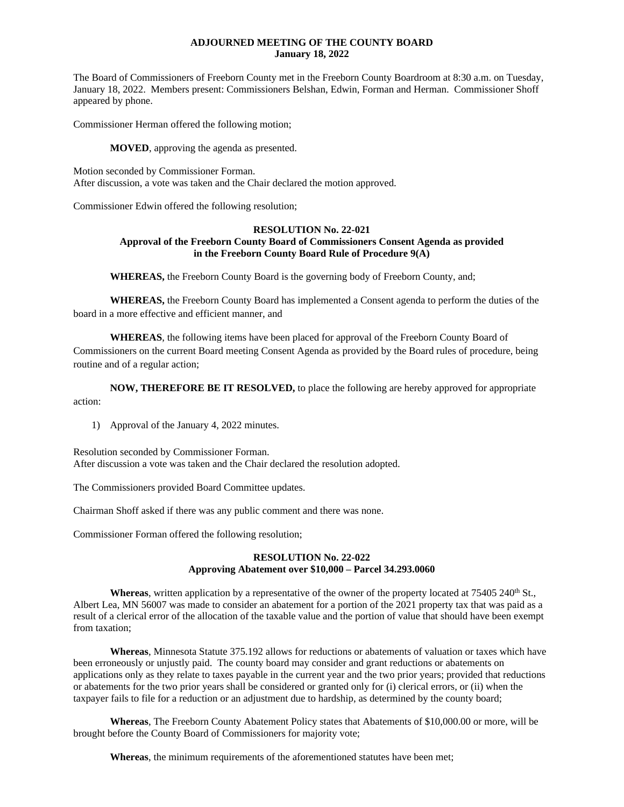### **ADJOURNED MEETING OF THE COUNTY BOARD January 18, 2022**

The Board of Commissioners of Freeborn County met in the Freeborn County Boardroom at 8:30 a.m. on Tuesday, January 18, 2022. Members present: Commissioners Belshan, Edwin, Forman and Herman. Commissioner Shoff appeared by phone.

Commissioner Herman offered the following motion;

**MOVED**, approving the agenda as presented.

Motion seconded by Commissioner Forman. After discussion, a vote was taken and the Chair declared the motion approved.

Commissioner Edwin offered the following resolution;

#### **RESOLUTION No. 22-021 Approval of the Freeborn County Board of Commissioners Consent Agenda as provided in the Freeborn County Board Rule of Procedure 9(A)**

**WHEREAS,** the Freeborn County Board is the governing body of Freeborn County, and;

**WHEREAS,** the Freeborn County Board has implemented a Consent agenda to perform the duties of the board in a more effective and efficient manner, and

**WHEREAS**, the following items have been placed for approval of the Freeborn County Board of Commissioners on the current Board meeting Consent Agenda as provided by the Board rules of procedure, being routine and of a regular action;

**NOW, THEREFORE BE IT RESOLVED,** to place the following are hereby approved for appropriate action:

1) Approval of the January 4, 2022 minutes.

Resolution seconded by Commissioner Forman. After discussion a vote was taken and the Chair declared the resolution adopted.

The Commissioners provided Board Committee updates.

Chairman Shoff asked if there was any public comment and there was none.

Commissioner Forman offered the following resolution;

## **RESOLUTION No. 22-022 Approving Abatement over \$10,000 – Parcel 34.293.0060**

**Whereas**, written application by a representative of the owner of the property located at 75405 240<sup>th</sup> St., Albert Lea, MN 56007 was made to consider an abatement for a portion of the 2021 property tax that was paid as a result of a clerical error of the allocation of the taxable value and the portion of value that should have been exempt from taxation;

**Whereas**, Minnesota Statute 375.192 allows for reductions or abatements of valuation or taxes which have been erroneously or unjustly paid. The county board may consider and grant reductions or abatements on applications only as they relate to taxes payable in the current year and the two prior years; provided that reductions or abatements for the two prior years shall be considered or granted only for (i) clerical errors, or (ii) when the taxpayer fails to file for a reduction or an adjustment due to hardship, as determined by the county board;

**Whereas**, The Freeborn County Abatement Policy states that Abatements of \$10,000.00 or more, will be brought before the County Board of Commissioners for majority vote;

**Whereas**, the minimum requirements of the aforementioned statutes have been met;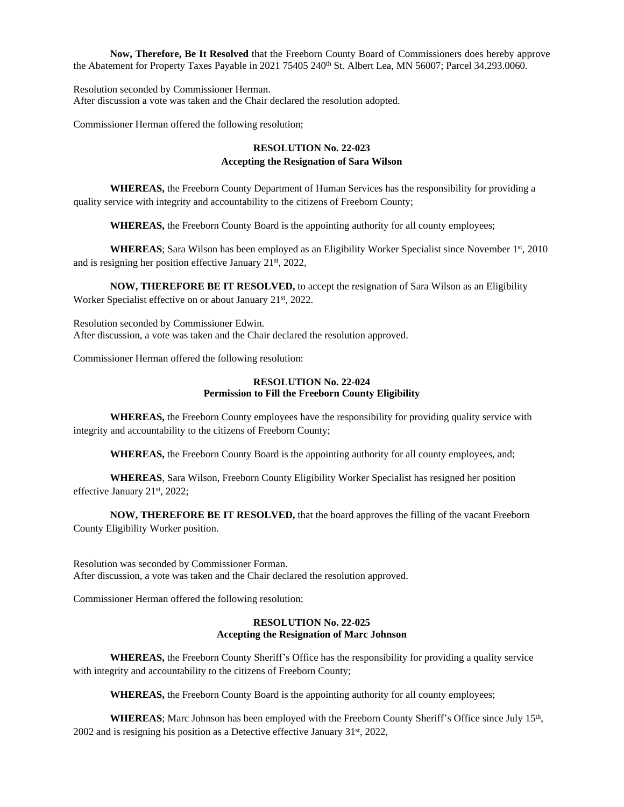**Now, Therefore, Be It Resolved** that the Freeborn County Board of Commissioners does hereby approve the Abatement for Property Taxes Payable in 2021 75405 240<sup>th</sup> St. Albert Lea, MN 56007; Parcel 34.293.0060.

Resolution seconded by Commissioner Herman. After discussion a vote was taken and the Chair declared the resolution adopted.

Commissioner Herman offered the following resolution;

# **RESOLUTION No. 22-023 Accepting the Resignation of Sara Wilson**

**WHEREAS,** the Freeborn County Department of Human Services has the responsibility for providing a quality service with integrity and accountability to the citizens of Freeborn County;

**WHEREAS,** the Freeborn County Board is the appointing authority for all county employees;

**WHEREAS**; Sara Wilson has been employed as an Eligibility Worker Specialist since November 1<sup>st</sup>, 2010 and is resigning her position effective January 21st, 2022,

**NOW, THEREFORE BE IT RESOLVED,** to accept the resignation of Sara Wilson as an Eligibility Worker Specialist effective on or about January 21st, 2022.

Resolution seconded by Commissioner Edwin. After discussion, a vote was taken and the Chair declared the resolution approved.

Commissioner Herman offered the following resolution:

#### **RESOLUTION No. 22-024 Permission to Fill the Freeborn County Eligibility**

**WHEREAS,** the Freeborn County employees have the responsibility for providing quality service with integrity and accountability to the citizens of Freeborn County;

**WHEREAS,** the Freeborn County Board is the appointing authority for all county employees, and;

**WHEREAS**, Sara Wilson, Freeborn County Eligibility Worker Specialist has resigned her position effective January 21<sup>st</sup>, 2022;

**NOW, THEREFORE BE IT RESOLVED,** that the board approves the filling of the vacant Freeborn County Eligibility Worker position.

Resolution was seconded by Commissioner Forman. After discussion, a vote was taken and the Chair declared the resolution approved.

Commissioner Herman offered the following resolution:

# **RESOLUTION No. 22-025 Accepting the Resignation of Marc Johnson**

**WHEREAS,** the Freeborn County Sheriff's Office has the responsibility for providing a quality service with integrity and accountability to the citizens of Freeborn County;

**WHEREAS,** the Freeborn County Board is the appointing authority for all county employees;

WHEREAS; Marc Johnson has been employed with the Freeborn County Sheriff's Office since July 15<sup>th</sup>,  $2002$  and is resigning his position as a Detective effective January 31<sup>st</sup>, 2022,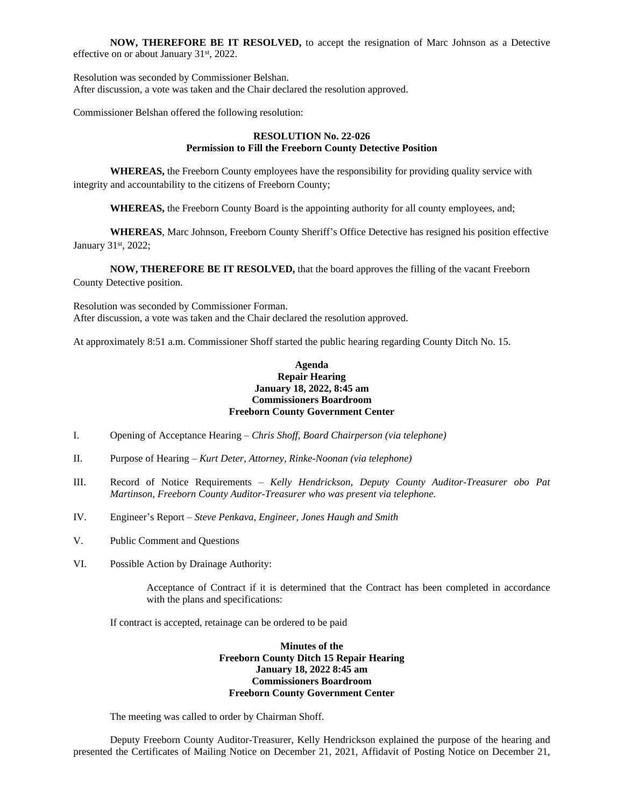**NOW, THEREFORE BE IT RESOLVED,** to accept the resignation of Marc Johnson as a Detective effective on or about January 31st, 2022.

Resolution was seconded by Commissioner Belshan. After discussion, a vote was taken and the Chair declared the resolution approved.

Commissioner Belshan offered the following resolution:

### **RESOLUTION No. 22-026 Permission to Fill the Freeborn County Detective Position**

**WHEREAS,** the Freeborn County employees have the responsibility for providing quality service with integrity and accountability to the citizens of Freeborn County;

**WHEREAS,** the Freeborn County Board is the appointing authority for all county employees, and;

**WHEREAS**, Marc Johnson, Freeborn County Sheriff's Office Detective has resigned his position effective January 31st, 2022;

**NOW, THEREFORE BE IT RESOLVED,** that the board approves the filling of the vacant Freeborn County Detective position.

Resolution was seconded by Commissioner Forman. After discussion, a vote was taken and the Chair declared the resolution approved.

At approximately 8:51 a.m. Commissioner Shoff started the public hearing regarding County Ditch No. 15.

#### **Agenda Repair Hearing January 18, 2022, 8:45 am Commissioners Boardroom Freeborn County Government Center**

- I. Opening of Acceptance Hearing *Chris Shoff, Board Chairperson (via telephone)*
- II. Purpose of Hearing *Kurt Deter, Attorney, Rinke-Noonan (via telephone)*
- III. Record of Notice Requirements *Kelly Hendrickson, Deputy County Auditor-Treasurer obo Pat Martinson, Freeborn County Auditor-Treasurer who was present via telephone.*
- IV. Engineer's Report *Steve Penkava, Engineer, Jones Haugh and Smith*
- V. Public Comment and Questions
- VI. Possible Action by Drainage Authority:

Acceptance of Contract if it is determined that the Contract has been completed in accordance with the plans and specifications:

If contract is accepted, retainage can be ordered to be paid

**Minutes of the Freeborn County Ditch 15 Repair Hearing January 18, 2022 8:45 am Commissioners Boardroom Freeborn County Government Center**

The meeting was called to order by Chairman Shoff.

Deputy Freeborn County Auditor-Treasurer, Kelly Hendrickson explained the purpose of the hearing and presented the Certificates of Mailing Notice on December 21, 2021, Affidavit of Posting Notice on December 21,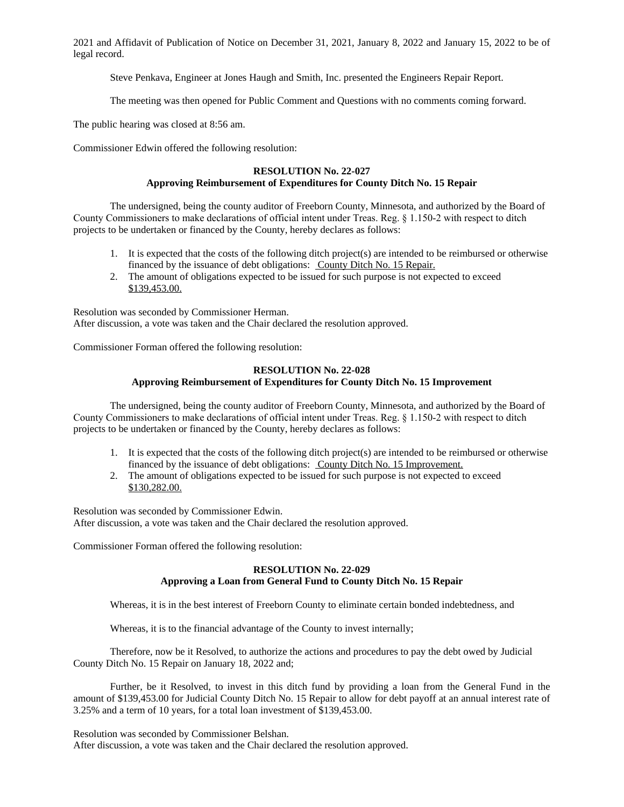2021 and Affidavit of Publication of Notice on December 31, 2021, January 8, 2022 and January 15, 2022 to be of legal record.

Steve Penkava, Engineer at Jones Haugh and Smith, Inc. presented the Engineers Repair Report.

The meeting was then opened for Public Comment and Questions with no comments coming forward.

The public hearing was closed at 8:56 am.

Commissioner Edwin offered the following resolution:

#### **RESOLUTION No. 22-027 Approving Reimbursement of Expenditures for County Ditch No. 15 Repair**

The undersigned, being the county auditor of Freeborn County, Minnesota, and authorized by the Board of County Commissioners to make declarations of official intent under Treas. Reg. § 1.150-2 with respect to ditch projects to be undertaken or financed by the County, hereby declares as follows:

- 1. It is expected that the costs of the following ditch project(s) are intended to be reimbursed or otherwise financed by the issuance of debt obligations: County Ditch No. 15 Repair.
- 2. The amount of obligations expected to be issued for such purpose is not expected to exceed \$139,453.00.

Resolution was seconded by Commissioner Herman. After discussion, a vote was taken and the Chair declared the resolution approved.

Commissioner Forman offered the following resolution:

# **RESOLUTION No. 22-028 Approving Reimbursement of Expenditures for County Ditch No. 15 Improvement**

The undersigned, being the county auditor of Freeborn County, Minnesota, and authorized by the Board of County Commissioners to make declarations of official intent under Treas. Reg. § 1.150-2 with respect to ditch projects to be undertaken or financed by the County, hereby declares as follows:

- 1. It is expected that the costs of the following ditch project(s) are intended to be reimbursed or otherwise financed by the issuance of debt obligations: County Ditch No. 15 Improvement.
- 2. The amount of obligations expected to be issued for such purpose is not expected to exceed \$130,282.00.

Resolution was seconded by Commissioner Edwin. After discussion, a vote was taken and the Chair declared the resolution approved.

Commissioner Forman offered the following resolution:

## **RESOLUTION No. 22-029 Approving a Loan from General Fund to County Ditch No. 15 Repair**

Whereas, it is in the best interest of Freeborn County to eliminate certain bonded indebtedness, and

Whereas, it is to the financial advantage of the County to invest internally;

Therefore, now be it Resolved, to authorize the actions and procedures to pay the debt owed by Judicial County Ditch No. 15 Repair on January 18, 2022 and;

Further, be it Resolved, to invest in this ditch fund by providing a loan from the General Fund in the amount of \$139,453.00 for Judicial County Ditch No. 15 Repair to allow for debt payoff at an annual interest rate of 3.25% and a term of 10 years, for a total loan investment of \$139,453.00.

Resolution was seconded by Commissioner Belshan. After discussion, a vote was taken and the Chair declared the resolution approved.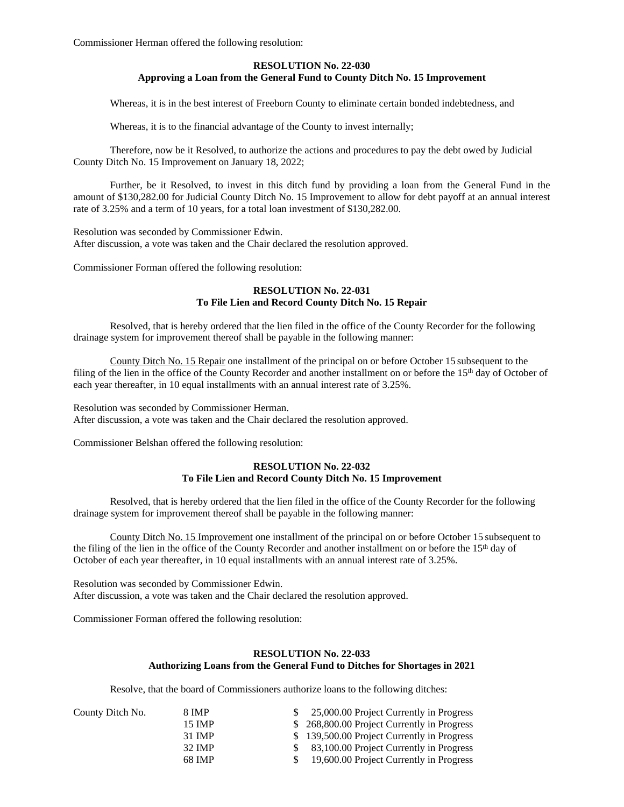Commissioner Herman offered the following resolution:

### **RESOLUTION No. 22-030 Approving a Loan from the General Fund to County Ditch No. 15 Improvement**

Whereas, it is in the best interest of Freeborn County to eliminate certain bonded indebtedness, and

Whereas, it is to the financial advantage of the County to invest internally;

Therefore, now be it Resolved, to authorize the actions and procedures to pay the debt owed by Judicial County Ditch No. 15 Improvement on January 18, 2022;

Further, be it Resolved, to invest in this ditch fund by providing a loan from the General Fund in the amount of \$130,282.00 for Judicial County Ditch No. 15 Improvement to allow for debt payoff at an annual interest rate of 3.25% and a term of 10 years, for a total loan investment of \$130,282.00.

Resolution was seconded by Commissioner Edwin. After discussion, a vote was taken and the Chair declared the resolution approved.

Commissioner Forman offered the following resolution:

### **RESOLUTION No. 22-031 To File Lien and Record County Ditch No. 15 Repair**

Resolved, that is hereby ordered that the lien filed in the office of the County Recorder for the following drainage system for improvement thereof shall be payable in the following manner:

County Ditch No. 15 Repair one installment of the principal on or before October 15 subsequent to the filing of the lien in the office of the County Recorder and another installment on or before the 15<sup>th</sup> day of October of each year thereafter, in 10 equal installments with an annual interest rate of 3.25%.

Resolution was seconded by Commissioner Herman. After discussion, a vote was taken and the Chair declared the resolution approved.

Commissioner Belshan offered the following resolution:

#### **RESOLUTION No. 22-032 To File Lien and Record County Ditch No. 15 Improvement**

Resolved, that is hereby ordered that the lien filed in the office of the County Recorder for the following drainage system for improvement thereof shall be payable in the following manner:

County Ditch No. 15 Improvement one installment of the principal on or before October 15 subsequent to the filing of the lien in the office of the County Recorder and another installment on or before the 15<sup>th</sup> day of October of each year thereafter, in 10 equal installments with an annual interest rate of 3.25%.

Resolution was seconded by Commissioner Edwin. After discussion, a vote was taken and the Chair declared the resolution approved.

Commissioner Forman offered the following resolution:

## **RESOLUTION No. 22-033**

## **Authorizing Loans from the General Fund to Ditches for Shortages in 2021**

Resolve, that the board of Commissioners authorize loans to the following ditches:

| County Ditch No. | 8 IMP  | 25,000.00 Project Currently in Progress    |
|------------------|--------|--------------------------------------------|
|                  | 15 IMP | \$268,800.00 Project Currently in Progress |
|                  | 31 IMP | \$139,500.00 Project Currently in Progress |
|                  | 32 IMP | 83,100.00 Project Currently in Progress    |
|                  | 68 IMP | 19,600.00 Project Currently in Progress    |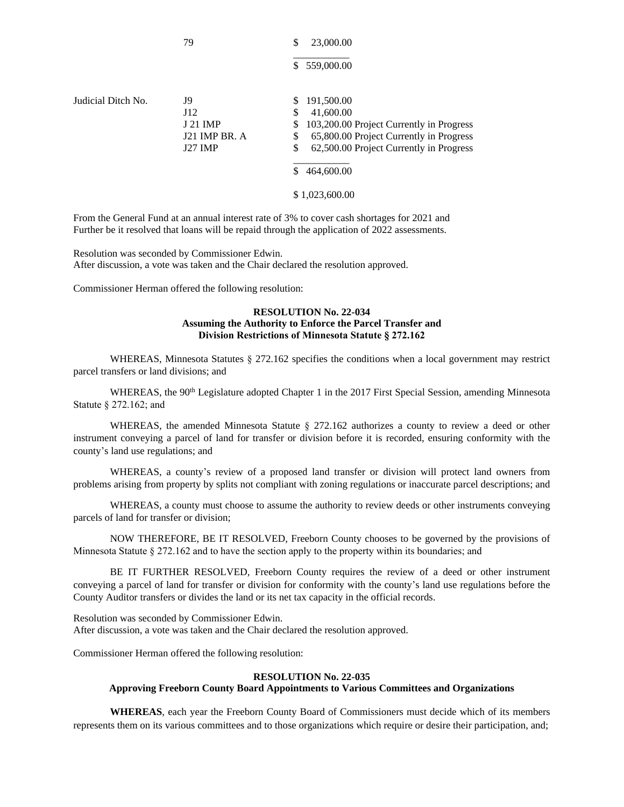|                    |                                                     | 559,000.00<br>\$                                                                                                                                                                                                             |
|--------------------|-----------------------------------------------------|------------------------------------------------------------------------------------------------------------------------------------------------------------------------------------------------------------------------------|
| Judicial Ditch No. | J9<br>J12<br>J 21 IMP<br>J21 IMP BR. A<br>$I27$ IMP | \$<br>191,500.00<br>\$<br>41,600.00<br>\$<br>103,200.00 Project Currently in Progress<br>65,800.00 Project Currently in Progress<br>\$<br>\$<br>62,500.00 Project Currently in Progress<br>464,600.00<br>S<br>\$1,023,600.00 |

79 \$ 23,000.00

From the General Fund at an annual interest rate of 3% to cover cash shortages for 2021 and Further be it resolved that loans will be repaid through the application of 2022 assessments.

Resolution was seconded by Commissioner Edwin. After discussion, a vote was taken and the Chair declared the resolution approved.

Commissioner Herman offered the following resolution:

#### **RESOLUTION No. 22-034 Assuming the Authority to Enforce the Parcel Transfer and Division Restrictions of Minnesota Statute § 272.162**

WHEREAS, Minnesota Statutes § 272.162 specifies the conditions when a local government may restrict parcel transfers or land divisions; and

WHEREAS, the 90<sup>th</sup> Legislature adopted Chapter 1 in the 2017 First Special Session, amending Minnesota Statute § 272.162; and

WHEREAS, the amended Minnesota Statute § 272.162 authorizes a county to review a deed or other instrument conveying a parcel of land for transfer or division before it is recorded, ensuring conformity with the county's land use regulations; and

WHEREAS, a county's review of a proposed land transfer or division will protect land owners from problems arising from property by splits not compliant with zoning regulations or inaccurate parcel descriptions; and

WHEREAS, a county must choose to assume the authority to review deeds or other instruments conveying parcels of land for transfer or division;

NOW THEREFORE, BE IT RESOLVED, Freeborn County chooses to be governed by the provisions of Minnesota Statute § 272.162 and to have the section apply to the property within its boundaries; and

BE IT FURTHER RESOLVED, Freeborn County requires the review of a deed or other instrument conveying a parcel of land for transfer or division for conformity with the county's land use regulations before the County Auditor transfers or divides the land or its net tax capacity in the official records.

Resolution was seconded by Commissioner Edwin. After discussion, a vote was taken and the Chair declared the resolution approved.

Commissioner Herman offered the following resolution:

#### **RESOLUTION No. 22-035**

## **Approving Freeborn County Board Appointments to Various Committees and Organizations**

**WHEREAS**, each year the Freeborn County Board of Commissioners must decide which of its members represents them on its various committees and to those organizations which require or desire their participation, and;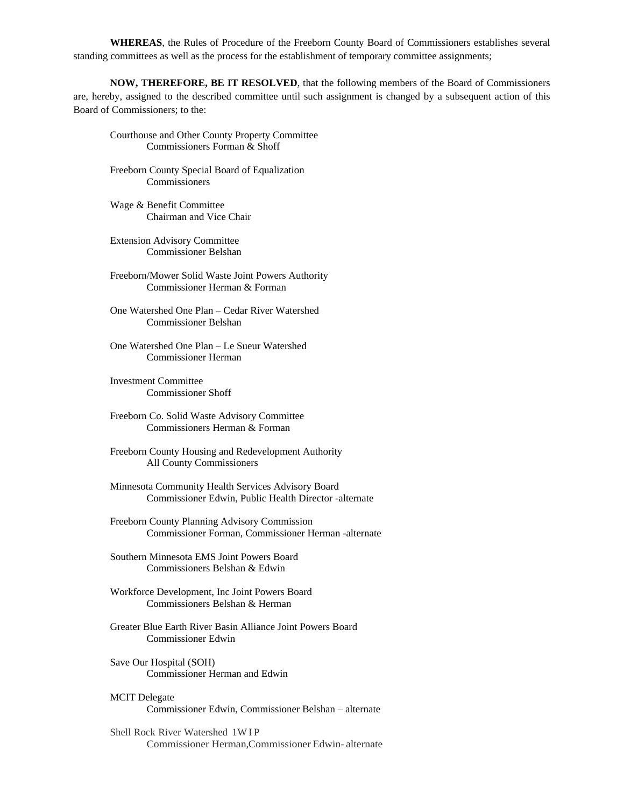**WHEREAS**, the Rules of Procedure of the Freeborn County Board of Commissioners establishes several standing committees as well as the process for the establishment of temporary committee assignments;

**NOW, THEREFORE, BE IT RESOLVED**, that the following members of the Board of Commissioners are, hereby, assigned to the described committee until such assignment is changed by a subsequent action of this Board of Commissioners; to the:

- Courthouse and Other County Property Committee Commissioners Forman & Shoff
- Freeborn County Special Board of Equalization Commissioners
- Wage & Benefit Committee Chairman and Vice Chair
- Extension Advisory Committee Commissioner Belshan
- Freeborn/Mower Solid Waste Joint Powers Authority Commissioner Herman & Forman
- One Watershed One Plan Cedar River Watershed Commissioner Belshan
- One Watershed One Plan Le Sueur Watershed Commissioner Herman
- Investment Committee Commissioner Shoff
- Freeborn Co. Solid Waste Advisory Committee Commissioners Herman & Forman
- Freeborn County Housing and Redevelopment Authority All County Commissioners
- Minnesota Community Health Services Advisory Board Commissioner Edwin, Public Health Director -alternate
- Freeborn County Planning Advisory Commission Commissioner Forman, Commissioner Herman -alternate
- Southern Minnesota EMS Joint Powers Board Commissioners Belshan & Edwin
- Workforce Development, Inc Joint Powers Board Commissioners Belshan & Herman
- Greater Blue Earth River Basin Alliance Joint Powers Board Commissioner Edwin
- Save Our Hospital (SOH) Commissioner Herman and Edwin
- MCIT Delegate Commissioner Edwin, Commissioner Belshan – alternate
- Shell Rock River Watershed 1WIP Commissioner Herman,Commissioner Edwin- alternate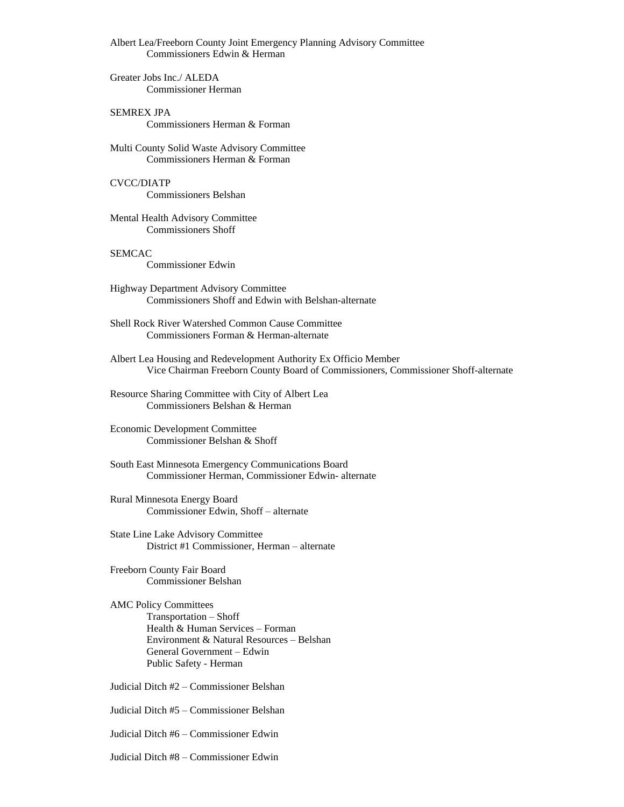Albert Lea/Freeborn County Joint Emergency Planning Advisory Committee Commissioners Edwin & Herman

Greater Jobs Inc./ ALEDA Commissioner Herman

SEMREX JPA Commissioners Herman & Forman

Multi County Solid Waste Advisory Committee Commissioners Herman & Forman

CVCC/DIATP Commissioners Belshan

Mental Health Advisory Committee Commissioners Shoff

## SEMCAC

Commissioner Edwin

- Highway Department Advisory Committee Commissioners Shoff and Edwin with Belshan-alternate
- Shell Rock River Watershed Common Cause Committee Commissioners Forman & Herman-alternate
- Albert Lea Housing and Redevelopment Authority Ex Officio Member Vice Chairman Freeborn County Board of Commissioners, Commissioner Shoff-alternate
- Resource Sharing Committee with City of Albert Lea Commissioners Belshan & Herman

Economic Development Committee Commissioner Belshan & Shoff

South East Minnesota Emergency Communications Board Commissioner Herman, Commissioner Edwin- alternate

Rural Minnesota Energy Board Commissioner Edwin, Shoff – alternate

State Line Lake Advisory Committee District #1 Commissioner, Herman – alternate

Freeborn County Fair Board Commissioner Belshan

AMC Policy Committees Transportation – Shoff Health & Human Services – Forman Environment & Natural Resources – Belshan General Government – Edwin Public Safety - Herman

Judicial Ditch #2 – Commissioner Belshan

Judicial Ditch #5 – Commissioner Belshan

Judicial Ditch #6 – Commissioner Edwin

Judicial Ditch #8 – Commissioner Edwin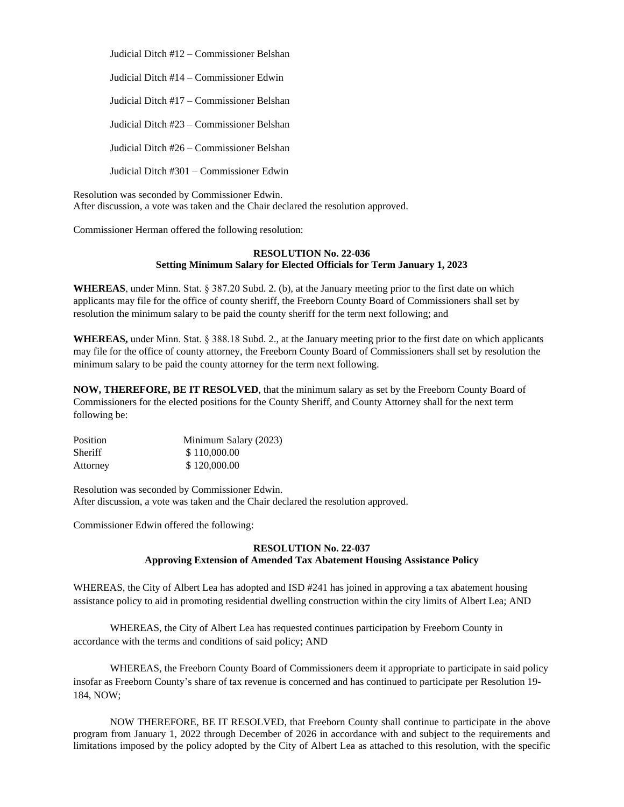Judicial Ditch #12 – Commissioner Belshan

Judicial Ditch #14 – Commissioner Edwin

Judicial Ditch #17 – Commissioner Belshan

Judicial Ditch #23 – Commissioner Belshan

Judicial Ditch #26 – Commissioner Belshan

Judicial Ditch #301 – Commissioner Edwin

Resolution was seconded by Commissioner Edwin. After discussion, a vote was taken and the Chair declared the resolution approved.

Commissioner Herman offered the following resolution:

#### **RESOLUTION No. 22-036 Setting Minimum Salary for Elected Officials for Term January 1, 2023**

**WHEREAS**, under Minn. Stat. § 387.20 Subd. 2. (b), at the January meeting prior to the first date on which applicants may file for the office of county sheriff, the Freeborn County Board of Commissioners shall set by resolution the minimum salary to be paid the county sheriff for the term next following; and

**WHEREAS,** under Minn. Stat. § 388.18 Subd. 2., at the January meeting prior to the first date on which applicants may file for the office of county attorney, the Freeborn County Board of Commissioners shall set by resolution the minimum salary to be paid the county attorney for the term next following.

**NOW, THEREFORE, BE IT RESOLVED**, that the minimum salary as set by the Freeborn County Board of Commissioners for the elected positions for the County Sheriff, and County Attorney shall for the next term following be:

| Position       | Minimum Salary (2023) |
|----------------|-----------------------|
| <b>Sheriff</b> | \$110,000.00          |
| Attorney       | \$120,000.00          |

Resolution was seconded by Commissioner Edwin. After discussion, a vote was taken and the Chair declared the resolution approved.

Commissioner Edwin offered the following:

## **RESOLUTION No. 22-037 Approving Extension of Amended Tax Abatement Housing Assistance Policy**

WHEREAS, the City of Albert Lea has adopted and ISD #241 has joined in approving a tax abatement housing assistance policy to aid in promoting residential dwelling construction within the city limits of Albert Lea; AND

WHEREAS, the City of Albert Lea has requested continues participation by Freeborn County in accordance with the terms and conditions of said policy; AND

WHEREAS, the Freeborn County Board of Commissioners deem it appropriate to participate in said policy insofar as Freeborn County's share of tax revenue is concerned and has continued to participate per Resolution 19- 184, NOW;

NOW THEREFORE, BE IT RESOLVED, that Freeborn County shall continue to participate in the above program from January 1, 2022 through December of 2026 in accordance with and subject to the requirements and limitations imposed by the policy adopted by the City of Albert Lea as attached to this resolution, with the specific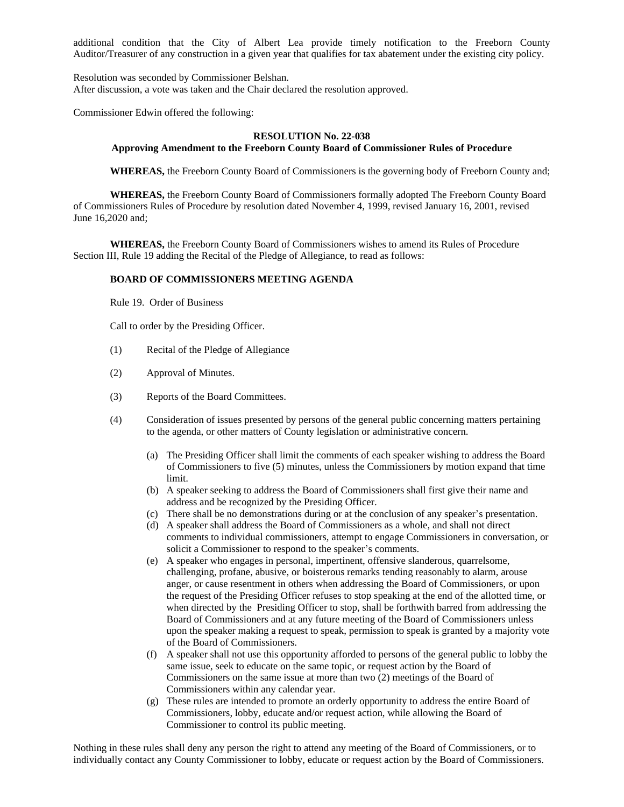additional condition that the City of Albert Lea provide timely notification to the Freeborn County Auditor/Treasurer of any construction in a given year that qualifies for tax abatement under the existing city policy.

Resolution was seconded by Commissioner Belshan. After discussion, a vote was taken and the Chair declared the resolution approved.

Commissioner Edwin offered the following:

### **RESOLUTION No. 22-038**

# **Approving Amendment to the Freeborn County Board of Commissioner Rules of Procedure**

**WHEREAS,** the Freeborn County Board of Commissioners is the governing body of Freeborn County and;

**WHEREAS,** the Freeborn County Board of Commissioners formally adopted The Freeborn County Board of Commissioners Rules of Procedure by resolution dated November 4, 1999, revised January 16, 2001, revised June 16,2020 and;

**WHEREAS,** the Freeborn County Board of Commissioners wishes to amend its Rules of Procedure Section III, Rule 19 adding the Recital of the Pledge of Allegiance, to read as follows:

#### **BOARD OF COMMISSIONERS MEETING AGENDA**

Rule 19. Order of Business

Call to order by the Presiding Officer.

- (1) Recital of the Pledge of Allegiance
- (2) Approval of Minutes.
- (3) Reports of the Board Committees.
- (4) Consideration of issues presented by persons of the general public concerning matters pertaining to the agenda, or other matters of County legislation or administrative concern.
	- (a) The Presiding Officer shall limit the comments of each speaker wishing to address the Board of Commissioners to five (5) minutes, unless the Commissioners by motion expand that time limit.
	- (b) A speaker seeking to address the Board of Commissioners shall first give their name and address and be recognized by the Presiding Officer.
	- (c) There shall be no demonstrations during or at the conclusion of any speaker's presentation.
	- (d) A speaker shall address the Board of Commissioners as a whole, and shall not direct comments to individual commissioners, attempt to engage Commissioners in conversation, or solicit a Commissioner to respond to the speaker's comments.
	- (e) A speaker who engages in personal, impertinent, offensive slanderous, quarrelsome, challenging, profane, abusive, or boisterous remarks tending reasonably to alarm, arouse anger, or cause resentment in others when addressing the Board of Commissioners, or upon the request of the Presiding Officer refuses to stop speaking at the end of the allotted time, or when directed by the Presiding Officer to stop, shall be forthwith barred from addressing the Board of Commissioners and at any future meeting of the Board of Commissioners unless upon the speaker making a request to speak, permission to speak is granted by a majority vote of the Board of Commissioners.
	- (f) A speaker shall not use this opportunity afforded to persons of the general public to lobby the same issue, seek to educate on the same topic, or request action by the Board of Commissioners on the same issue at more than two (2) meetings of the Board of Commissioners within any calendar year.
	- (g) These rules are intended to promote an orderly opportunity to address the entire Board of Commissioners, lobby, educate and/or request action, while allowing the Board of Commissioner to control its public meeting.

Nothing in these rules shall deny any person the right to attend any meeting of the Board of Commissioners, or to individually contact any County Commissioner to lobby, educate or request action by the Board of Commissioners.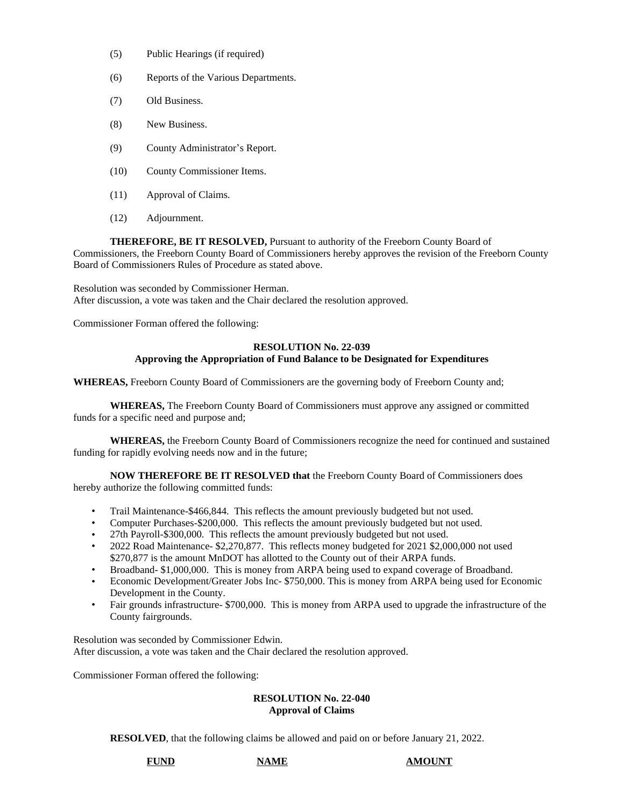- (5) Public Hearings (if required)
- (6) Reports of the Various Departments.
- (7) Old Business.
- (8) New Business.
- (9) County Administrator's Report.
- (10) County Commissioner Items.
- (11) Approval of Claims.
- (12) Adjournment.

**THEREFORE, BE IT RESOLVED,** Pursuant to authority of the Freeborn County Board of Commissioners, the Freeborn County Board of Commissioners hereby approves the revision of the Freeborn County Board of Commissioners Rules of Procedure as stated above.

Resolution was seconded by Commissioner Herman. After discussion, a vote was taken and the Chair declared the resolution approved.

Commissioner Forman offered the following:

### **RESOLUTION No. 22-039 Approving the Appropriation of Fund Balance to be Designated for Expenditures**

**WHEREAS,** Freeborn County Board of Commissioners are the governing body of Freeborn County and;

**WHEREAS,** The Freeborn County Board of Commissioners must approve any assigned or committed funds for a specific need and purpose and;

**WHEREAS,** the Freeborn County Board of Commissioners recognize the need for continued and sustained funding for rapidly evolving needs now and in the future;

**NOW THEREFORE BE IT RESOLVED that** the Freeborn County Board of Commissioners does hereby authorize the following committed funds:

- Trail Maintenance-\$466,844. This reflects the amount previously budgeted but not used.
- Computer Purchases-\$200,000. This reflects the amount previously budgeted but not used.
- 27th Payroll-\$300,000. This reflects the amount previously budgeted but not used.
- 2022 Road Maintenance- \$2,270,877. This reflects money budgeted for 2021 \$2,000,000 not used \$270,877 is the amount MnDOT has allotted to the County out of their ARPA funds.
- Broadband- \$1,000,000. This is money from ARPA being used to expand coverage of Broadband.
- Economic Development/Greater Jobs Inc- \$750,000. This is money from ARPA being used for Economic Development in the County.
- Fair grounds infrastructure- \$700,000. This is money from ARPA used to upgrade the infrastructure of the County fairgrounds.

Resolution was seconded by Commissioner Edwin. After discussion, a vote was taken and the Chair declared the resolution approved.

Commissioner Forman offered the following:

#### **RESOLUTION No. 22-040 Approval of Claims**

**RESOLVED**, that the following claims be allowed and paid on or before January 21, 2022.